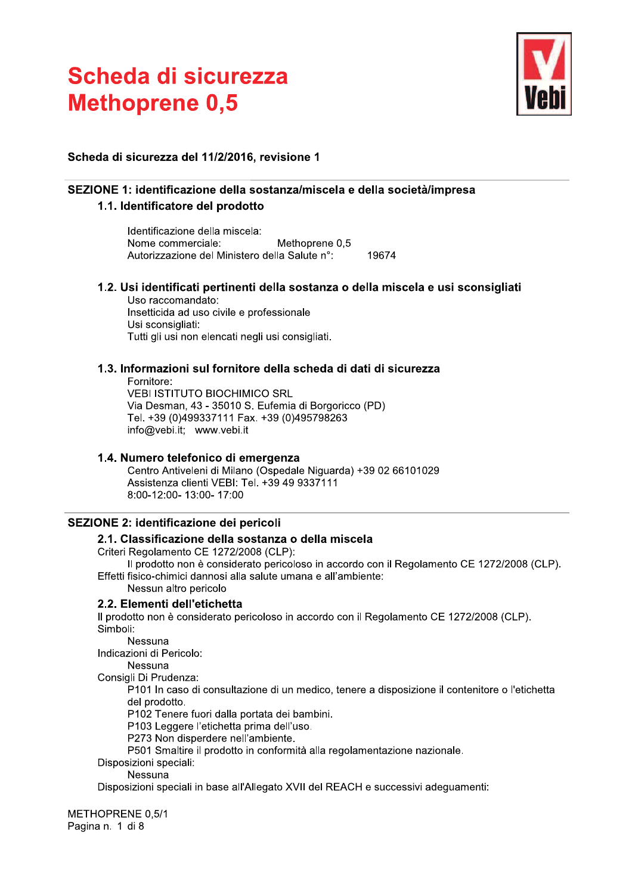

# Scheda di sicurezza del 11/2/2016, revisione 1

# SEZIONE 1: identificazione della sostanza/miscela e della società/impresa

# 1.1. Identificatore del prodotto

Identificazione della miscela: Nome commerciale: Methoprene 0,5 Autorizzazione del Ministero della Salute n°: 19674

1.2. Usi identificati pertinenti della sostanza o della miscela e usi sconsigliati

Uso raccomandato: Insetticida ad uso civile e professionale Usi sconsigliati: Tutti gli usi non elencati negli usi consigliati.

# 1.3. Informazioni sul fornitore della scheda di dati di sicurezza

Fornitore: **VEBI ISTITUTO BIOCHIMICO SRL** Via Desman, 43 - 35010 S. Eufemia di Borgoricco (PD) Tel. +39 (0)499337111 Fax. +39 (0)495798263 info@vebi.it; www.vebi.it

# 1.4. Numero telefonico di emergenza

Centro Antiveleni di Milano (Ospedale Niguarda) +39 02 66101029 Assistenza clienti VEBI: Tel. +39 49 9337111 8:00-12:00-13:00-17:00

# SEZIONE 2: identificazione dei pericoli

# 2.1. Classificazione della sostanza o della miscela

Criteri Regolamento CE 1272/2008 (CLP):

Il prodotto non è considerato pericoloso in accordo con il Regolamento CE 1272/2008 (CLP). Effetti fisico-chimici dannosi alla salute umana e all'ambiente:

Nessun altro pericolo

# 2.2. Elementi dell'etichetta

Il prodotto non è considerato pericoloso in accordo con il Regolamento CE 1272/2008 (CLP). Simboli:

Nessuna

Indicazioni di Pericolo:

**Nessuna** Consigli Di Prudenza:

P101 In caso di consultazione di un medico, tenere a disposizione il contenitore o l'etichetta del prodotto.

P102 Tenere fuori dalla portata dei bambini.

P103 Leggere l'etichetta prima dell'uso.

P273 Non disperdere nell'ambiente.

P501 Smaltire il prodotto in conformità alla regolamentazione nazionale.

Disposizioni speciali:

Nessuna

Disposizioni speciali in base all'Allegato XVII del REACH e successivi adequamenti:

METHOPRENE 0.5/1 Pagina n. 1 di 8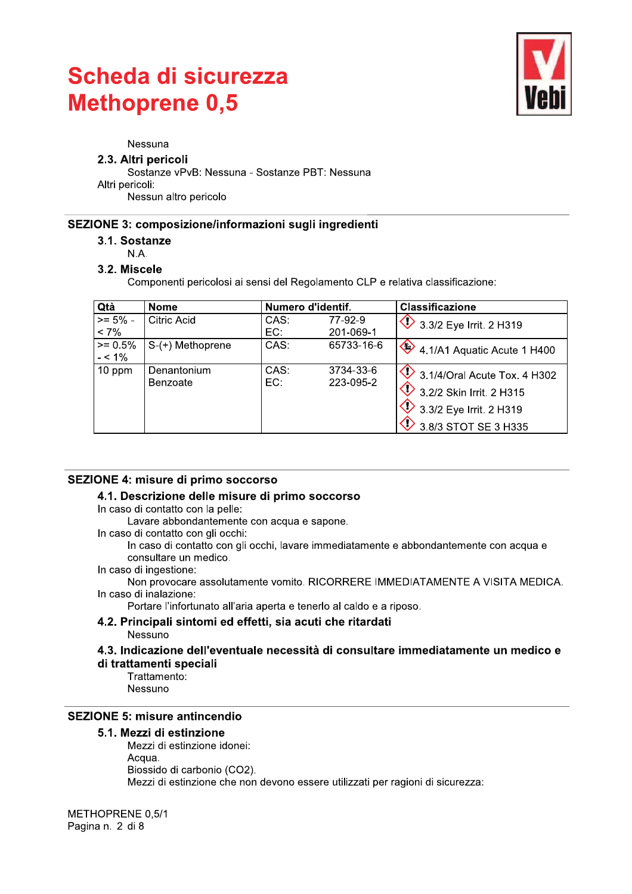

#### Nessuna

#### 2.3. Altri pericoli

Sostanze vPvB: Nessuna - Sostanze PBT: Nessuna Altri pericoli:

Nessun altro pericolo

#### SEZIONE 3: composizione/informazioni sugli ingredienti

3.1. Sostanze

#### $N.A.$

#### 3.2. Miscele

Componenti pericolosi ai sensi del Regolamento CLP e relativa classificazione:

| Qtà                    | <b>Nome</b>             | Numero d'identif. |                        | <b>Classificazione</b>                                                                                                           |
|------------------------|-------------------------|-------------------|------------------------|----------------------------------------------------------------------------------------------------------------------------------|
| $>= 5\%$ -             | Citric Acid             | CAS:              | 77-92-9                | $\bigotimes$ 3.3/2 Eye Irrit. 2 H319                                                                                             |
| $< 7\%$                |                         | EC:               | 201-069-1              |                                                                                                                                  |
| $>= 0.5%$<br>$- < 1\%$ | $S-(+)$ Methoprene      | CAS:              | 65733-16-6             | 4.1/A1 Aquatic Acute 1 H400                                                                                                      |
| 10 ppm                 | Denantonium<br>Benzoate | CAS:<br>EC:       | 3734-33-6<br>223-095-2 | $\bigcirc$ 3.1/4/Oral Acute Tox. 4 H302<br>$\bigvee$ 3.2/2 Skin Irrit. 2 H315<br>3.3/2 Eye Irrit. 2 H319<br>3.8/3 STOT SE 3 H335 |

# SEZIONE 4: misure di primo soccorso

#### 4.1. Descrizione delle misure di primo soccorso

In caso di contatto con la pelle:

Lavare abbondantemente con acqua e sapone.

In caso di contatto con gli occhi:

In caso di contatto con gli occhi, lavare immediatamente e abbondantemente con acqua e consultare un medico.

In caso di ingestione:

Non provocare assolutamente vomito, RICORRERE IMMEDIATAMENTE A VISITA MEDICA. In caso di inalazione:

Portare l'infortunato all'aria aperta e tenerlo al caldo e a riposo.

# 4.2. Principali sintomi ed effetti, sia acuti che ritardati

Nessuno

4.3. Indicazione dell'eventuale necessità di consultare immediatamente un medico e

### di trattamenti speciali

Trattamento: Nessuno

# **SEZIONE 5: misure antincendio**

#### 5.1. Mezzi di estinzione

Mezzi di estinzione idonei: Acqua. Biossido di carbonio (CO2). Mezzi di estinzione che non devono essere utilizzati per ragioni di sicurezza:

METHOPRENE 0.5/1 Pagina n. 2 di 8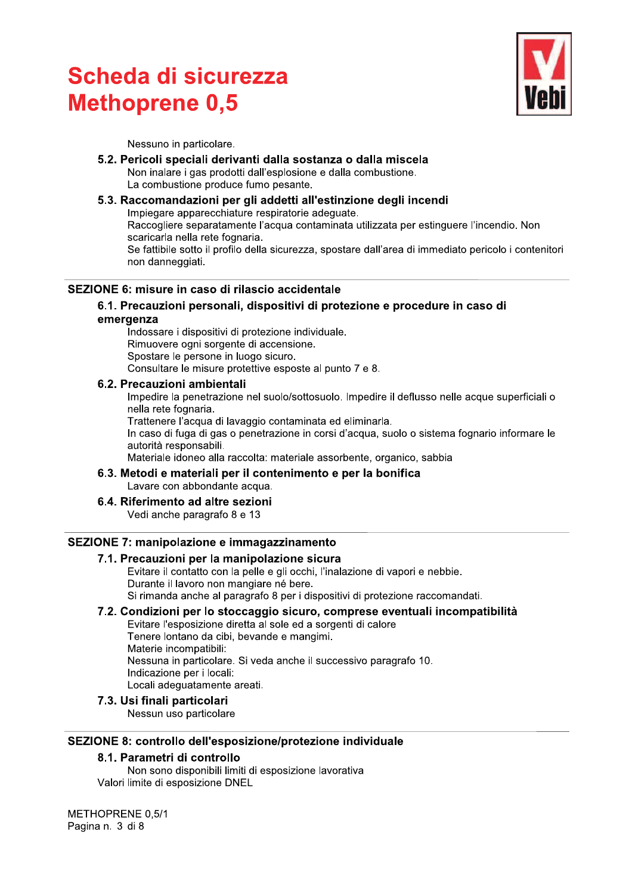

Nessuno in particolare.

#### 5.2. Pericoli speciali derivanti dalla sostanza o dalla miscela Non inalare i gas prodotti dall'esplosione e dalla combustione. La combustione produce fumo pesante.

# 5.3. Raccomandazioni per gli addetti all'estinzione degli incendi Impiegare apparecchiature respiratorie adeguate.

Raccogliere separatamente l'acqua contaminata utilizzata per estinguere l'incendio. Non scaricarla nella rete fognaria.

Se fattibile sotto il profilo della sicurezza, spostare dall'area di immediato pericolo i contenitori non danneggiati.

# SEZIONE 6: misure in caso di rilascio accidentale

#### 6.1. Precauzioni personali, dispositivi di protezione e procedure in caso di emergenza

Indossare i dispositivi di protezione individuale. Rimuovere ogni sorgente di accensione. Spostare le persone in luogo sicuro. Consultare le misure protettive esposte al punto 7 e 8.

#### 6.2. Precauzioni ambientali

Impedire la penetrazione nel suolo/sottosuolo. Impedire il deflusso nelle acque superficiali o nella rete fognaria.

Trattenere l'acqua di lavaggio contaminata ed eliminarla.

In caso di fuga di gas o penetrazione in corsi d'acqua, suolo o sistema fognario informare le autorità responsabili.

Materiale idoneo alla raccolta: materiale assorbente, organico, sabbia

#### 6.3. Metodi e materiali per il contenimento e per la bonifica Lavare con abbondante acqua.

# 6.4. Riferimento ad altre sezioni

Vedi anche paragrafo 8 e 13

# SEZIONE 7: manipolazione e immagazzinamento

#### 7.1. Precauzioni per la manipolazione sicura

Evitare il contatto con la pelle e gli occhi, l'inalazione di vapori e nebbie. Durante il lavoro non mangiare né bere. Si rimanda anche al paragrafo 8 per i dispositivi di protezione raccomandati.

# 7.2. Condizioni per lo stoccaggio sicuro, comprese eventuali incompatibilità

Evitare l'esposizione diretta al sole ed a sorgenti di calore Tenere lontano da cibi, bevande e mangimi. Materie incompatibili: Nessuna in particolare. Si veda anche il successivo paragrafo 10. Indicazione per i locali: Locali adequatamente areati.

#### 7.3. Usi finali particolari

Nessun uso particolare

# SEZIONE 8: controllo dell'esposizione/protezione individuale

# 8.1. Parametri di controllo

Non sono disponibili limiti di esposizione lavorativa Valori limite di esposizione DNEL

METHOPRENE 0.5/1 Pagina n. 3 di 8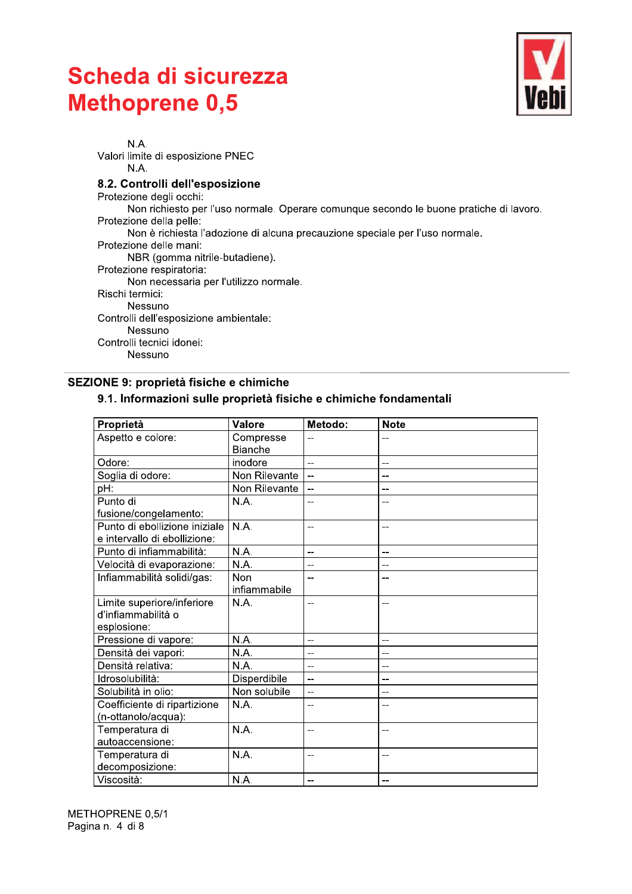

N.A. Valori limite di esposizione PNEC N.A. 8.2. Controlli dell'esposizione Protezione degli occhi: Non richiesto per l'uso normale. Operare comunque secondo le buone pratiche di lavoro. Protezione della pelle: Non è richiesta l'adozione di alcuna precauzione speciale per l'uso normale. Protezione delle mani: NBR (gomma nitrile-butadiene). Protezione respiratoria: Non necessaria per l'utilizzo normale. Rischi termici: Nessuno Controlli dell'esposizione ambientale: Nessuno Controlli tecnici idonei: Nessuno

# SEZIONE 9: proprietà fisiche e chimiche

#### 9.1. Informazioni sulle proprietà fisiche e chimiche fondamentali

| Proprietà                     | <b>Valore</b>  | Metodo:                  | <b>Note</b>    |
|-------------------------------|----------------|--------------------------|----------------|
| Aspetto e colore:             | Compresse      | $-$                      |                |
|                               | <b>Bianche</b> |                          |                |
| Odore:                        | inodore        | $\overline{a}$           | $-$            |
| Soglia di odore:              | Non Rilevante  |                          | $-$            |
| pH:                           | Non Rilevante  | $\overline{\phantom{a}}$ | --             |
| Punto di                      | N.A.           | $-$                      | $-$            |
| fusione/congelamento:         |                |                          |                |
| Punto di ebollizione iniziale | N.A.           | $-$                      | $-$            |
| e intervallo di ebollizione:  |                |                          |                |
| Punto di infiammabilità:      | N.A.           | $\overline{a}$           | $\overline{a}$ |
| Velocità di evaporazione:     | N.A.           | --                       | --             |
| Infiammabilità solidi/gas:    | Non            | $-$                      |                |
|                               | infiammabile   |                          |                |
| Limite superiore/inferiore    | N.A.           | $\overline{a}$           |                |
| d'infiammabilità o            |                |                          |                |
| esplosione:                   |                |                          |                |
| Pressione di vapore:          | N.A.           | $\overline{\phantom{a}}$ | $-$            |
| Densità dei vapori:           | N.A.           | $-$                      | $-$            |
| Densità relativa:             | N.A.           | $\overline{a}$           | $\overline{a}$ |
| Idrosolubilità:               | Disperdibile   | $-$                      | $-$            |
| Solubilità in olio:           | Non solubile   | --                       | --             |
| Coefficiente di ripartizione  | N.A.           | $-$                      | $-$            |
| (n-ottanolo/acqua):           |                |                          |                |
| Temperatura di                | N.A.           | $-$                      | $-$            |
| autoaccensione:               |                |                          |                |
| Temperatura di                | N.A.           | $-$                      | --             |
| decomposizione:               |                |                          |                |
| Viscosità:                    | N.A.           | $-$                      | $-$            |

METHOPRENE 0,5/1 Pagina n. 4 di 8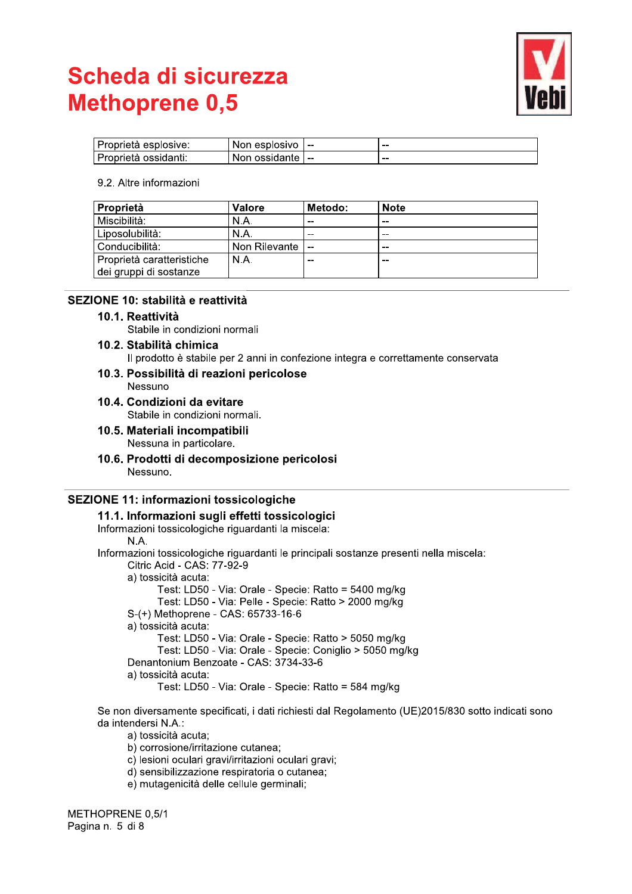

| l Proprietà esplosive: | Non esplosivo | $- -$ | $- -$ |
|------------------------|---------------|-------|-------|
| l Proprietà ossidanti: | Non ossidante | .     | $- -$ |

#### 9.2. Altre informazioni

| <b>Proprietà</b>            | Valore        | Metodo: | <b>Note</b> |
|-----------------------------|---------------|---------|-------------|
| Miscibilità:                | N.A.          | $- -$   | $- -$       |
| Liposolubilità:             | N.A.          | $-$     | --          |
| <sup>1</sup> Conducibilità: | Non Rilevante | $-$     | $- -$       |
| Proprietà caratteristiche   | N.A.          | $- -$   | $- -$       |
| dei gruppi di sostanze      |               |         |             |

# SEZIONE 10: stabilità e reattività

#### 10.1. Reattività

Stabile in condizioni normali

# 10.2. Stabilità chimica

Il prodotto è stabile per 2 anni in confezione integra e correttamente conservata

10.3. Possibilità di reazioni pericolose Nessuno

10.4. Condizioni da evitare Stabile in condizioni normali.

- 10.5. Materiali incompatibili Nessuna in particolare.
- 10.6. Prodotti di decomposizione pericolosi Nessuno.

# **SEZIONE 11: informazioni tossicologiche**

| 11.1. Informazioni sugli effetti tossicologici                                         |
|----------------------------------------------------------------------------------------|
| Informazioni tossicologiche riguardanti la miscela:                                    |
| N.A.                                                                                   |
| Informazioni tossicologiche riguardanti le principali sostanze presenti nella miscela: |
| Citric Acid - CAS: 77-92-9                                                             |
| a) tossicità acuta:                                                                    |
| Test: LD50 - Via: Orale - Specie: Ratto = 5400 mg/kg                                   |
| Test: LD50 - Via: Pelle - Specie: Ratto > 2000 mg/kg                                   |
| S-(+) Methoprene - CAS: 65733-16-6                                                     |
| a) tossicità acuta:                                                                    |
| Test: LD50 - Via: Orale - Specie: Ratto > 5050 mg/kg                                   |
| Test: LD50 - Via: Orale - Specie: Coniglio > 5050 mg/kg                                |
| Denantonium Benzoate - CAS: 3734-33-6                                                  |
| a) tossicità acuta:                                                                    |
| Test: LD50 - Via: Orale - Specie: Ratto = 584 mg/kg                                    |
|                                                                                        |

Se non diversamente specificati, i dati richiesti dal Regolamento (UE)2015/830 sotto indicati sono da intendersi N.A.:

a) tossicità acuta;

- b) corrosione/irritazione cutanea;
- c) lesioni oculari gravi/irritazioni oculari gravi;
- d) sensibilizzazione respiratoria o cutanea;
- e) mutagenicità delle cellule germinali;

METHOPRENE 0,5/1 Pagina n. 5 di 8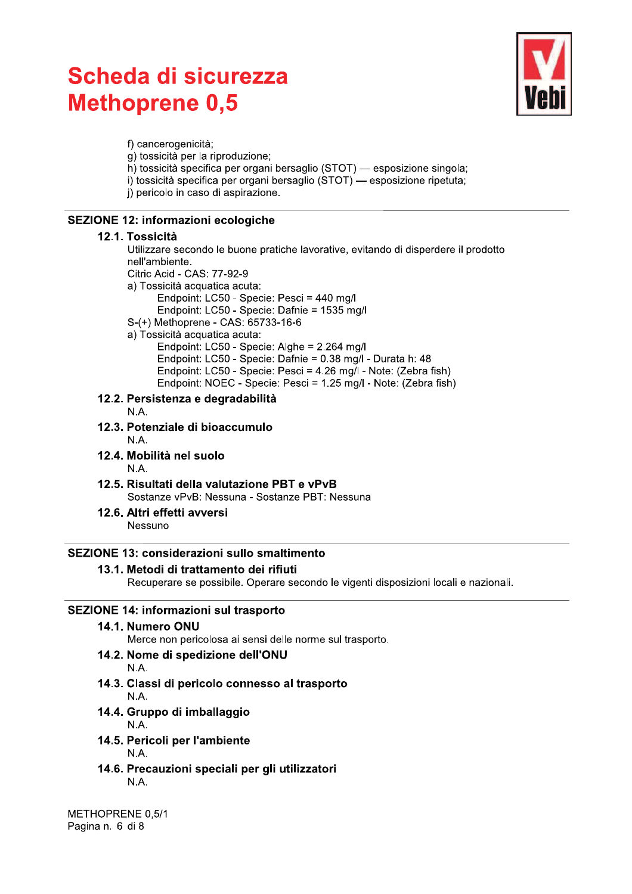

f) cancerogenicità: g) tossicità per la riproduzione; h) tossicità specifica per organi bersaglio (STOT) — esposizione singola; i) tossicità specifica per organi bersaglio (STOT) — esposizione ripetuta; i) pericolo in caso di aspirazione.

# **SEZIONE 12: informazioni ecologiche**

#### 12.1. Tossicità

Utilizzare secondo le buone pratiche lavorative, evitando di disperdere il prodotto nell'ambiente.

- Citric Acid CAS: 77-92-9
- a) Tossicità acquatica acuta:
	- Endpoint: LC50 Specie: Pesci = 440 mg/l
	- Endpoint: LC50 Specie: Dafnie = 1535 mg/l
- S-(+) Methoprene CAS: 65733-16-6
- a) Tossicità acquatica acuta:
	- Endpoint: LC50 Specie: Alghe = 2.264 mg/l Endpoint: LC50 - Specie: Dafnie = 0.38 mg/l - Durata h: 48 Endpoint: LC50 - Specie: Pesci = 4.26 mg/l - Note: (Zebra fish) Endpoint: NOEC - Specie: Pesci = 1.25 mg/l - Note: (Zebra fish)

# 12.2. Persistenza e degradabilità

- N.A.
- 12.3. Potenziale di bioaccumulo
	- N A
- 12.4. Mobilità nel suolo N.A.
- 12.5. Risultati della valutazione PBT e vPvB Sostanze vPvB: Nessuna - Sostanze PBT: Nessuna
- 12.6. Altri effetti avversi Nessuno

# **SEZIONE 13: considerazioni sullo smaltimento**

# 13.1. Metodi di trattamento dei rifiuti

Recuperare se possibile. Operare secondo le vigenti disposizioni locali e nazionali.

# **SEZIONE 14: informazioni sul trasporto**

14.1. Numero ONU

Merce non pericolosa ai sensi delle norme sul trasporto.

14.2. Nome di spedizione dell'ONU

#### N.A.

- 14.3. Classi di pericolo connesso al trasporto N A
- 14.4. Gruppo di imballaggio  $N.A.$
- 14.5. Pericoli per l'ambiente N.A.
- 14.6. Precauzioni speciali per gli utilizzatori N.A.

METHOPRENE 0.5/1 Pagina n. 6 di 8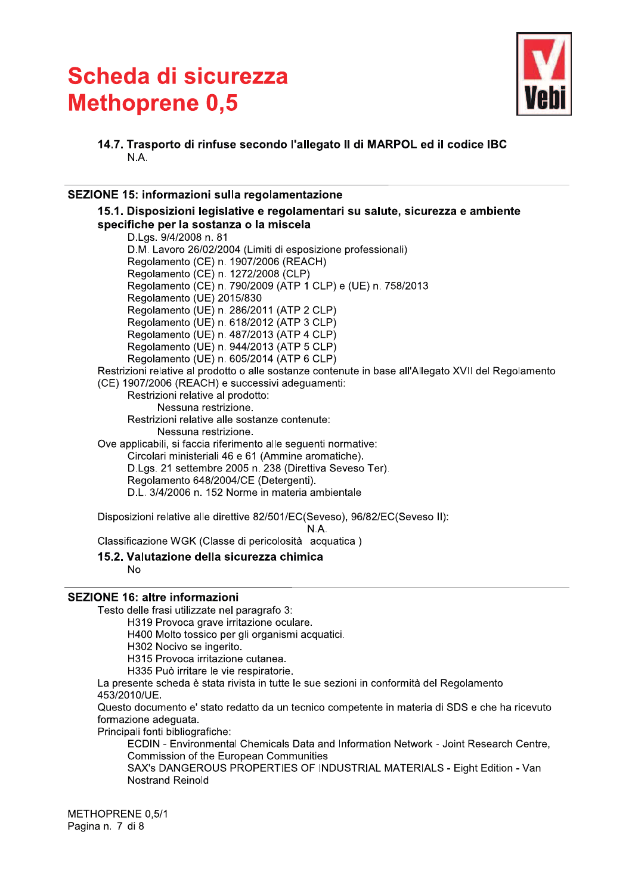

14.7. Trasporto di rinfuse secondo l'allegato II di MARPOL ed il codice IBC N A

### SEZIONE 15: informazioni sulla regolamentazione

15.1. Disposizioni legislative e regolamentari su salute, sicurezza e ambiente specifiche per la sostanza o la miscela D.Lgs. 9/4/2008 n. 81 D.M. Lavoro 26/02/2004 (Limiti di esposizione professionali) Regolamento (CE) n. 1907/2006 (REACH) Regolamento (CE) n. 1272/2008 (CLP) Regolamento (CE) n. 790/2009 (ATP 1 CLP) e (UE) n. 758/2013 Regolamento (UE) 2015/830 Regolamento (UE) n. 286/2011 (ATP 2 CLP) Regolamento (UE) n. 618/2012 (ATP 3 CLP) Regolamento (UE) n. 487/2013 (ATP 4 CLP) Regolamento (UE) n. 944/2013 (ATP 5 CLP) Regolamento (UE) n. 605/2014 (ATP 6 CLP) Restrizioni relative al prodotto o alle sostanze contenute in base all'Allegato XVII del Regolamento (CE) 1907/2006 (REACH) e successivi adeguamenti: Restrizioni relative al prodotto: Nessuna restrizione. Restrizioni relative alle sostanze contenute: Nessuna restrizione. Ove applicabili, si faccia riferimento alle sequenti normative: Circolari ministeriali 46 e 61 (Ammine aromatiche). D.Lgs. 21 settembre 2005 n. 238 (Direttiva Seveso Ter). Regolamento 648/2004/CE (Detergenti). D.L. 3/4/2006 n. 152 Norme in materia ambientale Disposizioni relative alle direttive 82/501/EC(Seveso), 96/82/EC(Seveso II):

N.A.

Classificazione WGK (Classe di pericolosità acquatica)

15.2. Valutazione della sicurezza chimica

 $No$ 

#### **SEZIONE 16: altre informazioni**

Testo delle frasi utilizzate nel paragrafo 3:

H319 Provoca grave irritazione oculare.

H400 Molto tossico per gli organismi acquatici.

H302 Nocivo se ingerito.

H315 Provoca irritazione cutanea.

H335 Può irritare le vie respiratorie.

La presente scheda è stata rivista in tutte le sue sezioni in conformità del Regolamento 453/2010/UF.

Questo documento e' stato redatto da un tecnico competente in materia di SDS e che ha ricevuto formazione adequata.

Principali fonti bibliografiche:

ECDIN - Environmental Chemicals Data and Information Network - Joint Research Centre, **Commission of the European Communities** 

SAX's DANGEROUS PROPERTIES OF INDUSTRIAL MATERIALS - Eight Edition - Van **Nostrand Reinold** 

METHOPRENE 0.5/1 Pagina n. 7 di 8